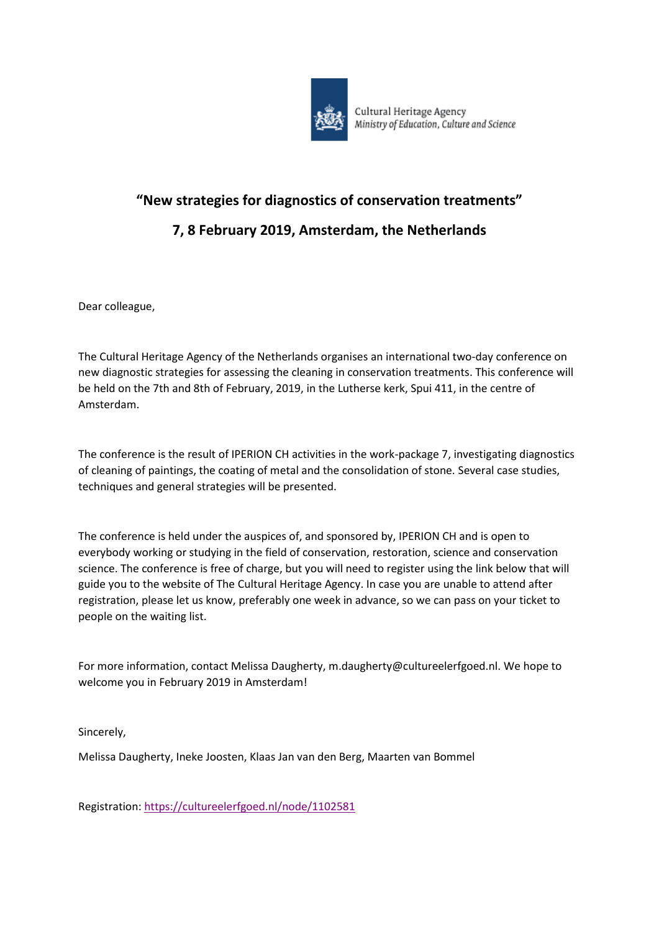

# **"New strategies for diagnostics of conservation treatments"**

## **7, 8 February 2019, Amsterdam, the Netherlands**

Dear colleague,

The Cultural Heritage Agency of the Netherlands organises an international two-day conference on new diagnostic strategies for assessing the cleaning in conservation treatments. This conference will be held on the 7th and 8th of February, 2019, in the Lutherse kerk, Spui 411, in the centre of Amsterdam.

The conference is the result of IPERION CH activities in the work-package 7, investigating diagnostics of cleaning of paintings, the coating of metal and the consolidation of stone. Several case studies, techniques and general strategies will be presented.

The conference is held under the auspices of, and sponsored by, IPERION CH and is open to everybody working or studying in the field of conservation, restoration, science and conservation science. The conference is free of charge, but you will need to register using the link below that will guide you to the website of The Cultural Heritage Agency. In case you are unable to attend after registration, please let us know, preferably one week in advance, so we can pass on your ticket to people on the waiting list.

For more information, contact Melissa Daugherty, m.daugherty@cultureelerfgoed.nl. We hope to welcome you in February 2019 in Amsterdam!

Sincerely,

Melissa Daugherty, Ineke Joosten, Klaas Jan van den Berg, Maarten van Bommel

Registration:<https://cultureelerfgoed.nl/node/1102581>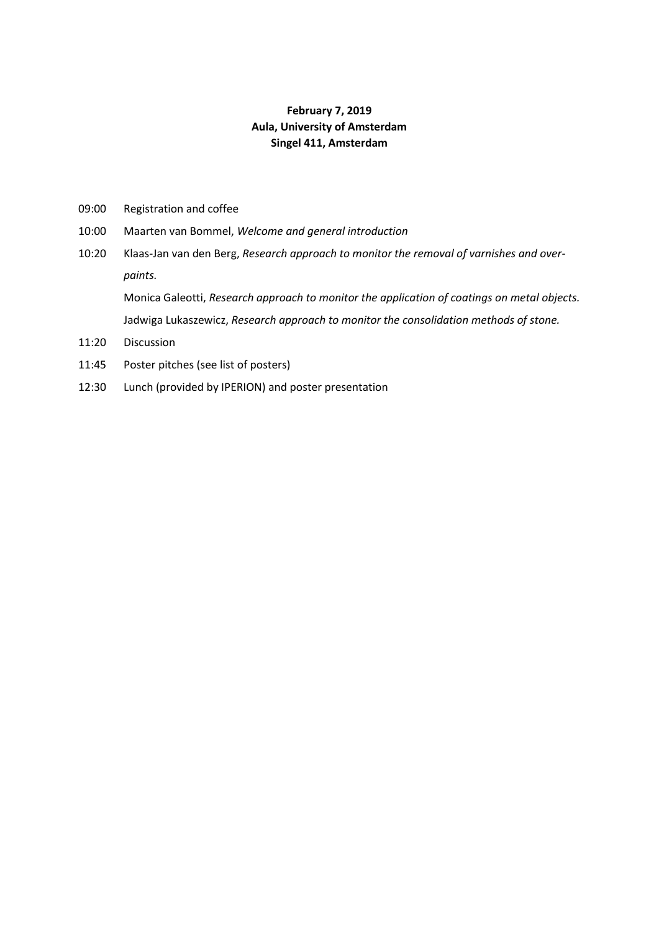## **February 7, 2019 Aula, University of Amsterdam Singel 411, Amsterdam**

- 09:00 Registration and coffee
- 10:00 Maarten van Bommel, *Welcome and general introduction*
- 10:20 Klaas-Jan van den Berg, *Research approach to monitor the removal of varnishes and overpaints.*

Monica Galeotti, *Research approach to monitor the application of coatings on metal objects.* Jadwiga Lukaszewicz, *Research approach to monitor the consolidation methods of stone.*

- 11:20 Discussion
- 11:45 Poster pitches (see list of posters)
- 12:30 Lunch (provided by IPERION) and poster presentation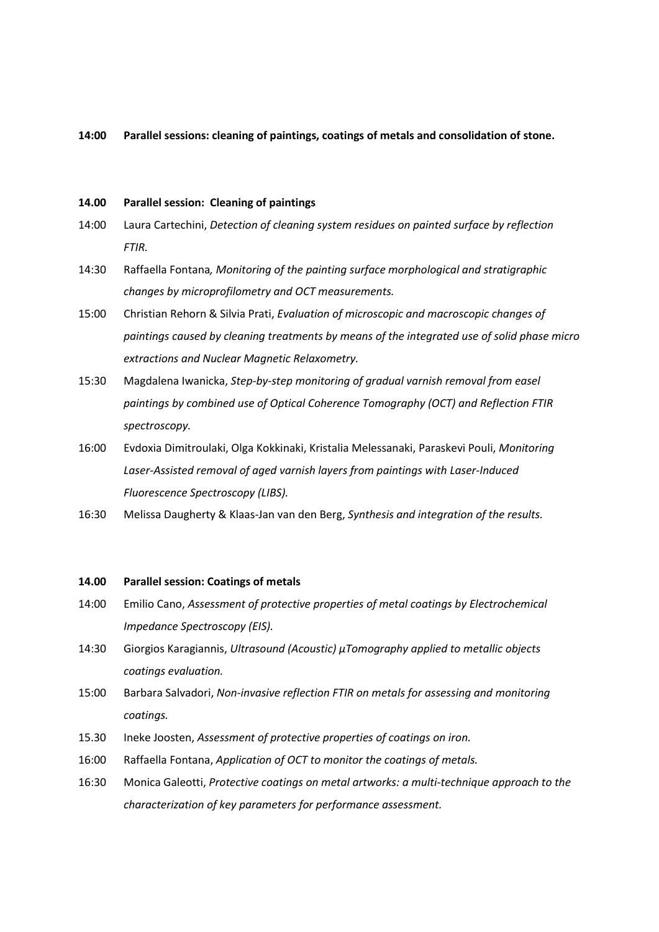**14:00 Parallel sessions: cleaning of paintings, coatings of metals and consolidation of stone.**

#### **14.00 Parallel session: Cleaning of paintings**

- 14:00 Laura Cartechini, *Detection of cleaning system residues on painted surface by reflection FTIR.*
- 14:30 Raffaella Fontana*, Monitoring of the painting surface morphological and stratigraphic changes by microprofilometry and OCT measurements.*
- 15:00 Christian Rehorn & Silvia Prati, *Evaluation of microscopic and macroscopic changes of paintings caused by cleaning treatments by means of the integrated use of solid phase micro extractions and Nuclear Magnetic Relaxometry.*
- 15:30 Magdalena Iwanicka, *Step-by-step monitoring of gradual varnish removal from easel paintings by combined use of Optical Coherence Tomography (OCT) and Reflection FTIR spectroscopy.*
- 16:00 Evdoxia Dimitroulaki, Olga Kokkinaki, Kristalia Melessanaki, Paraskevi Pouli, *Monitoring Laser-Assisted removal of aged varnish layers from paintings with Laser-Induced Fluorescence Spectroscopy (LIBS).*
- 16:30 Melissa Daugherty & Klaas-Jan van den Berg, *Synthesis and integration of the results.*

#### **14.00 Parallel session: Coatings of metals**

- 14:00 Emilio Cano, *Assessment of protective properties of metal coatings by Electrochemical Impedance Spectroscopy (EIS).*
- 14:30 Giorgios Karagiannis, *Ultrasound (Acoustic) μTomography applied to metallic objects coatings evaluation.*
- 15:00 Barbara Salvadori, *Non-invasive reflection FTIR on metals for assessing and monitoring coatings.*
- 15.30 Ineke Joosten, *Assessment of protective properties of coatings on iron.*
- 16:00 Raffaella Fontana, *Application of OCT to monitor the coatings of metals.*
- 16:30 Monica Galeotti, *Protective coatings on metal artworks: a multi-technique approach to the characterization of key parameters for performance assessment.*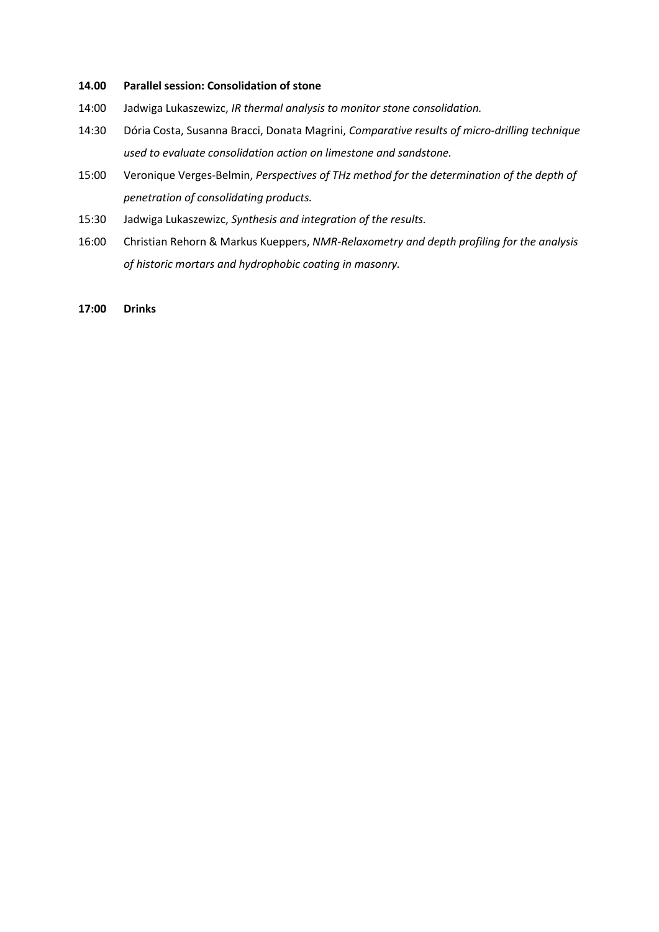## **14.00 Parallel session: Consolidation of stone**

- 14:00 Jadwiga Lukaszewizc, *IR thermal analysis to monitor stone consolidation.*
- 14:30 Dória Costa, Susanna Bracci, Donata Magrini, *Comparative results of micro-drilling technique used to evaluate consolidation action on limestone and sandstone.*
- 15:00 Veronique Verges-Belmin, *Perspectives of THz method for the determination of the depth of penetration of consolidating products.*
- 15:30 Jadwiga Lukaszewizc, *Synthesis and integration of the results.*
- 16:00 Christian Rehorn & Markus Kueppers, *NMR-Relaxometry and depth profiling for the analysis of historic mortars and hydrophobic coating in masonry.*
- **17:00 Drinks**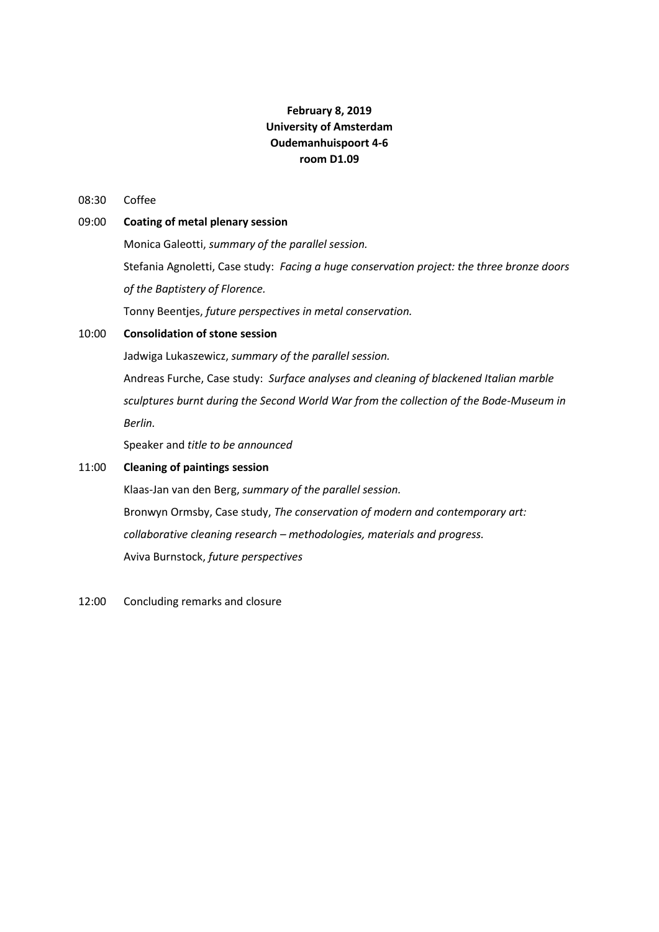## **February 8, 2019 University of Amsterdam Oudemanhuispoort 4-6 room D1.09**

### 08:30 Coffee

## 09:00 **Coating of metal plenary session**

Monica Galeotti, *summary of the parallel session.* Stefania Agnoletti, Case study: *Facing a huge conservation project: the three bronze doors of the Baptistery of Florence.*

Tonny Beentjes, *future perspectives in metal conservation.*

## 10:00 **Consolidation of stone session**

Jadwiga Lukaszewicz, *summary of the parallel session.*

Andreas Furche, Case study: *Surface analyses and cleaning of blackened Italian marble sculptures burnt during the Second World War from the collection of the Bode-Museum in Berlin.*

Speaker and *title to be announced*

## 11:00 **Cleaning of paintings session**

Klaas-Jan van den Berg, *summary of the parallel session.* Bronwyn Ormsby, Case study, *The conservation of modern and contemporary art: collaborative cleaning research – methodologies, materials and progress.* Aviva Burnstock, *future perspectives*

12:00 Concluding remarks and closure